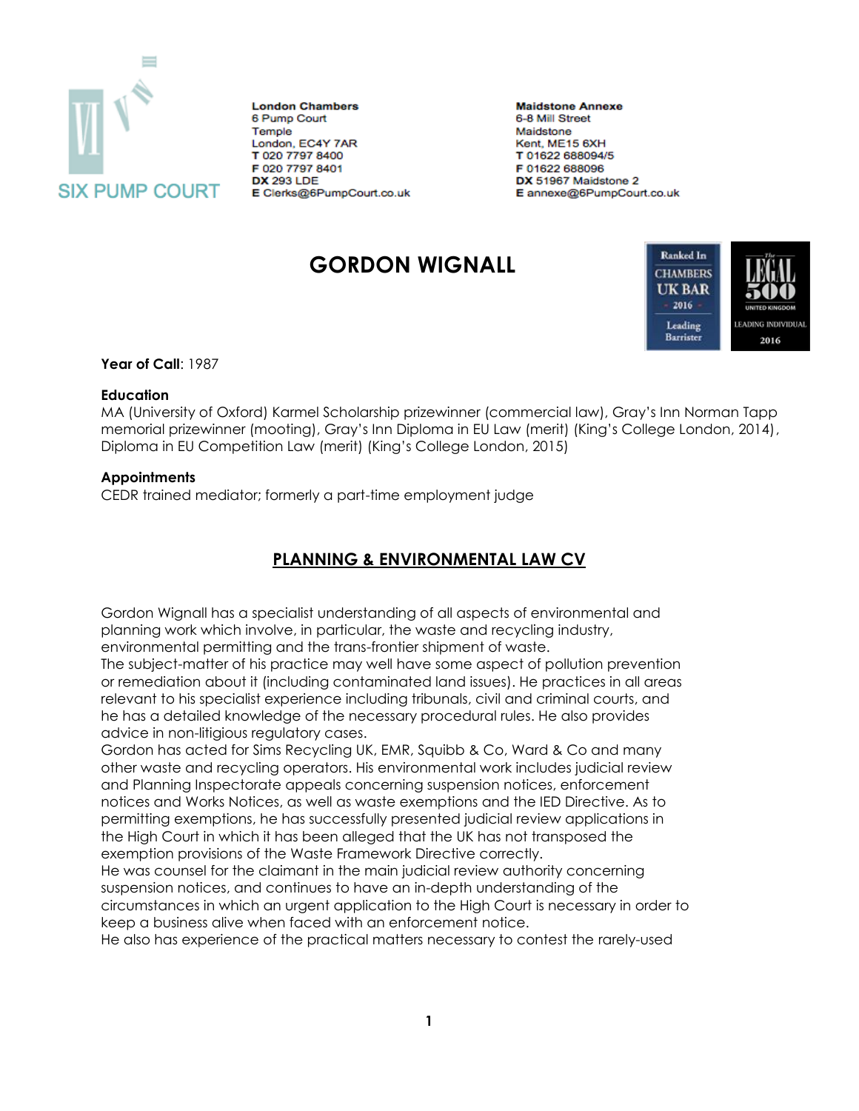

**London Chambers** 6 Pump Court Temple London, EC4Y 7AR T 020 7797 8400 F 020 7797 8401 **DX 293 LDE** E Clerks@6PumpCourt.co.uk **Maidstone Annexe** 6-8 Mill Street Maidstone Kent, ME15 6XH T 01622 688094/5 F 01622 688096 DX 51967 Maidstone 2 E annexe@6PumpCourt.co.uk

# **GORDON WIGNALL**



**Year of Call**: 1987

#### **Education**

MA (University of Oxford) Karmel Scholarship prizewinner (commercial law), Gray's Inn Norman Tapp memorial prizewinner (mooting), Gray's Inn Diploma in EU Law (merit) (King's College London, 2014), Diploma in EU Competition Law (merit) (King's College London, 2015)

### **Appointments**

CEDR trained mediator; formerly a part-time employment judge

## **PLANNING & ENVIRONMENTAL LAW CV**

Gordon Wignall has a specialist understanding of all aspects of environmental and planning work which involve, in particular, the waste and recycling industry, environmental permitting and the trans-frontier shipment of waste.

The subject-matter of his practice may well have some aspect of pollution prevention or remediation about it (including contaminated land issues). He practices in all areas relevant to his specialist experience including tribunals, civil and criminal courts, and he has a detailed knowledge of the necessary procedural rules. He also provides advice in non-litigious regulatory cases.

Gordon has acted for Sims Recycling UK, EMR, Squibb & Co, Ward & Co and many other waste and recycling operators. His environmental work includes judicial review and Planning Inspectorate appeals concerning suspension notices, enforcement notices and Works Notices, as well as waste exemptions and the IED Directive. As to permitting exemptions, he has successfully presented judicial review applications in the High Court in which it has been alleged that the UK has not transposed the exemption provisions of the Waste Framework Directive correctly.

He was counsel for the claimant in the main judicial review authority concerning suspension notices, and continues to have an in-depth understanding of the circumstances in which an urgent application to the High Court is necessary in order to keep a business alive when faced with an enforcement notice.

He also has experience of the practical matters necessary to contest the rarely-used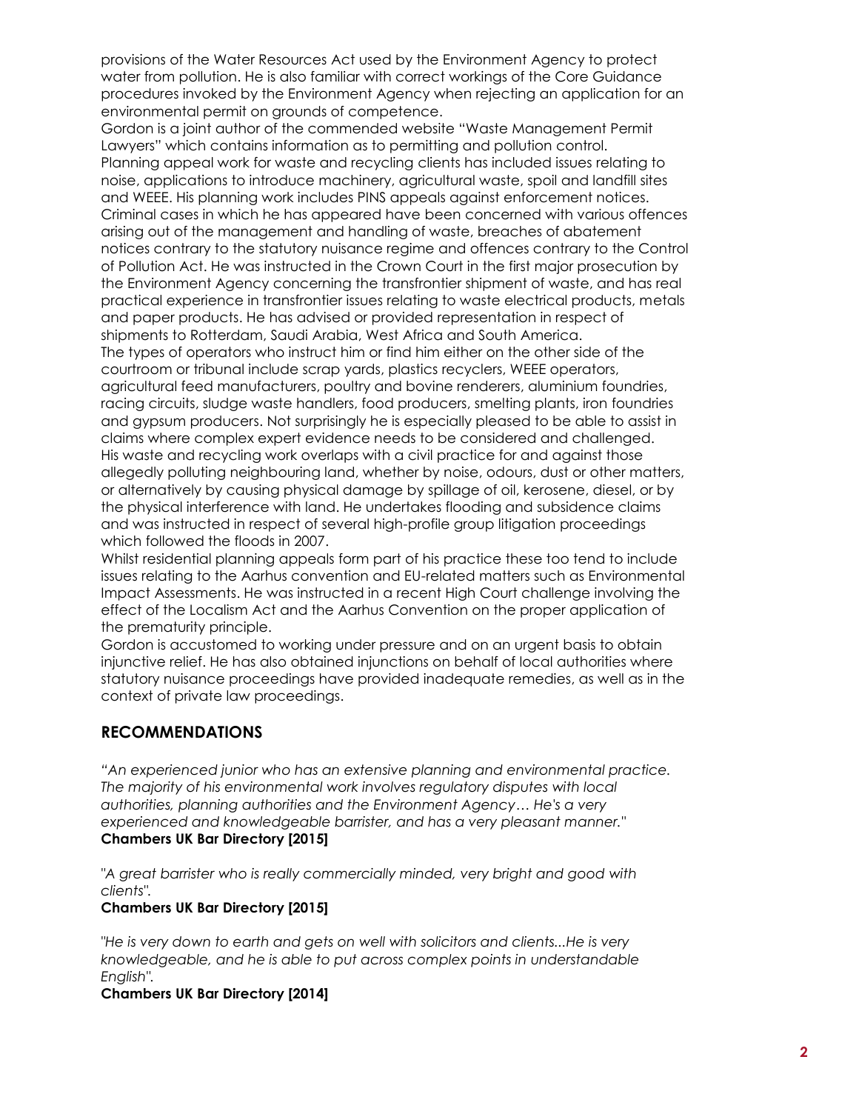provisions of the Water Resources Act used by the Environment Agency to protect water from pollution. He is also familiar with correct workings of the Core Guidance procedures invoked by the Environment Agency when rejecting an application for an environmental permit on grounds of competence.

Gordon is a joint author of the commended website "Waste Management Permit Lawyers" which contains information as to permitting and pollution control. Planning appeal work for waste and recycling clients has included issues relating to noise, applications to introduce machinery, agricultural waste, spoil and landfill sites and WEEE. His planning work includes PINS appeals against enforcement notices. Criminal cases in which he has appeared have been concerned with various offences arising out of the management and handling of waste, breaches of abatement notices contrary to the statutory nuisance regime and offences contrary to the Control of Pollution Act. He was instructed in the Crown Court in the first major prosecution by the Environment Agency concerning the transfrontier shipment of waste, and has real practical experience in transfrontier issues relating to waste electrical products, metals and paper products. He has advised or provided representation in respect of shipments to Rotterdam, Saudi Arabia, West Africa and South America. The types of operators who instruct him or find him either on the other side of the courtroom or tribunal include scrap yards, plastics recyclers, WEEE operators, agricultural feed manufacturers, poultry and bovine renderers, aluminium foundries, racing circuits, sludge waste handlers, food producers, smelting plants, iron foundries and gypsum producers. Not surprisingly he is especially pleased to be able to assist in claims where complex expert evidence needs to be considered and challenged. His waste and recycling work overlaps with a civil practice for and against those allegedly polluting neighbouring land, whether by noise, odours, dust or other matters, or alternatively by causing physical damage by spillage of oil, kerosene, diesel, or by the physical interference with land. He undertakes flooding and subsidence claims and was instructed in respect of several high-profile group litigation proceedings which followed the floods in 2007.

Whilst residential planning appeals form part of his practice these too tend to include issues relating to the Aarhus convention and EU-related matters such as Environmental Impact Assessments. He was instructed in a recent High Court challenge involving the effect of the Localism Act and the Aarhus Convention on the proper application of the prematurity principle.

Gordon is accustomed to working under pressure and on an urgent basis to obtain injunctive relief. He has also obtained injunctions on behalf of local authorities where statutory nuisance proceedings have provided inadequate remedies, as well as in the context of private law proceedings.

### **RECOMMENDATIONS**

*"An experienced junior who has an extensive planning and environmental practice. The majority of his environmental work involves regulatory disputes with local authorities, planning authorities and the Environment Agency… He's a very experienced and knowledgeable barrister, and has a very pleasant manner."*  **Chambers UK Bar Directory [2015]** 

*"A great barrister who is really commercially minded, very bright and good with clients".* 

### **Chambers UK Bar Directory [2015]**

*"He is very down to earth and gets on well with solicitors and clients...He is very knowledgeable, and he is able to put across complex points in understandable English".* 

### **Chambers UK Bar Directory [2014]**